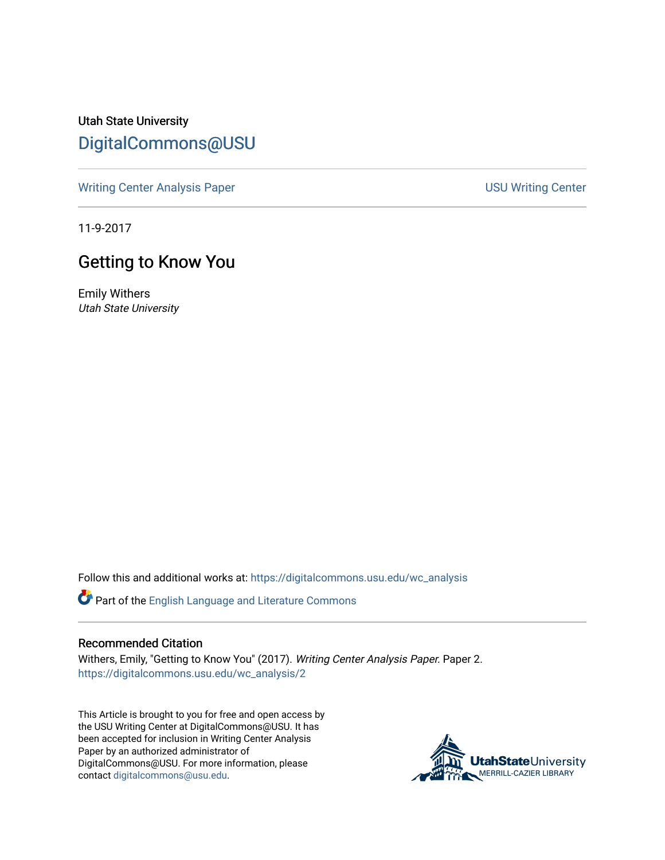Utah State University [DigitalCommons@USU](https://digitalcommons.usu.edu/)

[Writing Center Analysis Paper](https://digitalcommons.usu.edu/wc_analysis) National Communication of the USU Writing Center

11-9-2017

## Getting to Know You

Emily Withers Utah State University

Follow this and additional works at: [https://digitalcommons.usu.edu/wc\\_analysis](https://digitalcommons.usu.edu/wc_analysis?utm_source=digitalcommons.usu.edu%2Fwc_analysis%2F2&utm_medium=PDF&utm_campaign=PDFCoverPages) 

Part of the [English Language and Literature Commons](http://network.bepress.com/hgg/discipline/455?utm_source=digitalcommons.usu.edu%2Fwc_analysis%2F2&utm_medium=PDF&utm_campaign=PDFCoverPages)

## Recommended Citation

Withers, Emily, "Getting to Know You" (2017). Writing Center Analysis Paper. Paper 2. [https://digitalcommons.usu.edu/wc\\_analysis/2](https://digitalcommons.usu.edu/wc_analysis/2?utm_source=digitalcommons.usu.edu%2Fwc_analysis%2F2&utm_medium=PDF&utm_campaign=PDFCoverPages) 

This Article is brought to you for free and open access by the USU Writing Center at DigitalCommons@USU. It has been accepted for inclusion in Writing Center Analysis Paper by an authorized administrator of DigitalCommons@USU. For more information, please contact [digitalcommons@usu.edu](mailto:digitalcommons@usu.edu).

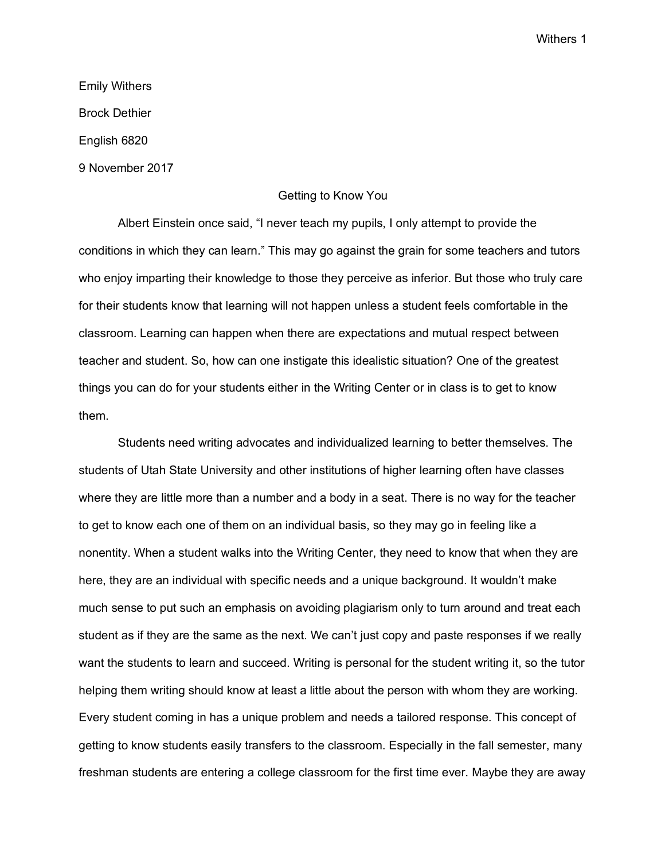Emily Withers Brock Dethier English 6820 9 November 2017

## Getting to Know You

Albert Einstein once said, "I never teach my pupils, I only attempt to provide the conditions in which they can learn." This may go against the grain for some teachers and tutors who enjoy imparting their knowledge to those they perceive as inferior. But those who truly care for their students know that learning will not happen unless a student feels comfortable in the classroom. Learning can happen when there are expectations and mutual respect between teacher and student. So, how can one instigate this idealistic situation? One of the greatest things you can do for your students either in the Writing Center or in class is to get to know them.

Students need writing advocates and individualized learning to better themselves. The students of Utah State University and other institutions of higher learning often have classes where they are little more than a number and a body in a seat. There is no way for the teacher to get to know each one of them on an individual basis, so they may go in feeling like a nonentity. When a student walks into the Writing Center, they need to know that when they are here, they are an individual with specific needs and a unique background. It wouldn't make much sense to put such an emphasis on avoiding plagiarism only to turn around and treat each student as if they are the same as the next. We can't just copy and paste responses if we really want the students to learn and succeed. Writing is personal for the student writing it, so the tutor helping them writing should know at least a little about the person with whom they are working. Every student coming in has a unique problem and needs a tailored response. This concept of getting to know students easily transfers to the classroom. Especially in the fall semester, many freshman students are entering a college classroom for the first time ever. Maybe they are away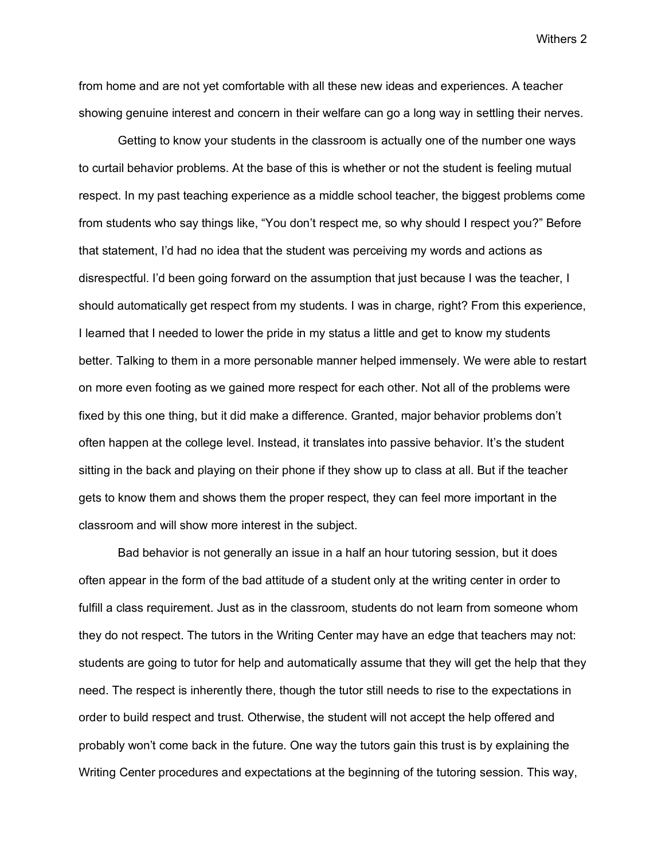from home and are not yet comfortable with all these new ideas and experiences. A teacher showing genuine interest and concern in their welfare can go a long way in settling their nerves.

Getting to know your students in the classroom is actually one of the number one ways to curtail behavior problems. At the base of this is whether or not the student is feeling mutual respect. In my past teaching experience as a middle school teacher, the biggest problems come from students who say things like, "You don't respect me, so why should I respect you?" Before that statement, I'd had no idea that the student was perceiving my words and actions as disrespectful. I'd been going forward on the assumption that just because I was the teacher, I should automatically get respect from my students. I was in charge, right? From this experience, I learned that I needed to lower the pride in my status a little and get to know my students better. Talking to them in a more personable manner helped immensely. We were able to restart on more even footing as we gained more respect for each other. Not all of the problems were fixed by this one thing, but it did make a difference. Granted, major behavior problems don't often happen at the college level. Instead, it translates into passive behavior. It's the student sitting in the back and playing on their phone if they show up to class at all. But if the teacher gets to know them and shows them the proper respect, they can feel more important in the classroom and will show more interest in the subject.

Bad behavior is not generally an issue in a half an hour tutoring session, but it does often appear in the form of the bad attitude of a student only at the writing center in order to fulfill a class requirement. Just as in the classroom, students do not learn from someone whom they do not respect. The tutors in the Writing Center may have an edge that teachers may not: students are going to tutor for help and automatically assume that they will get the help that they need. The respect is inherently there, though the tutor still needs to rise to the expectations in order to build respect and trust. Otherwise, the student will not accept the help offered and probably won't come back in the future. One way the tutors gain this trust is by explaining the Writing Center procedures and expectations at the beginning of the tutoring session. This way,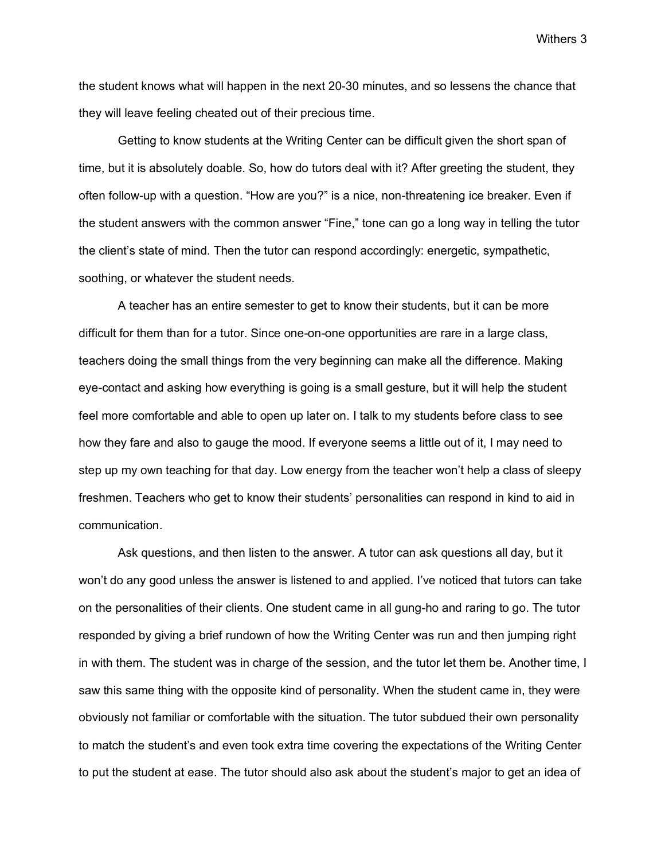the student knows what will happen in the next 20-30 minutes, and so lessens the chance that they will leave feeling cheated out of their precious time.

Getting to know students at the Writing Center can be difficult given the short span of time, but it is absolutely doable. So, how do tutors deal with it? After greeting the student, they often follow-up with a question. "How are you?" is a nice, non-threatening ice breaker. Even if the student answers with the common answer "Fine," tone can go a long way in telling the tutor the client's state of mind. Then the tutor can respond accordingly: energetic, sympathetic, soothing, or whatever the student needs.

A teacher has an entire semester to get to know their students, but it can be more difficult for them than for a tutor. Since one-on-one opportunities are rare in a large class, teachers doing the small things from the very beginning can make all the difference. Making eye-contact and asking how everything is going is a small gesture, but it will help the student feel more comfortable and able to open up later on. I talk to my students before class to see how they fare and also to gauge the mood. If everyone seems a little out of it, I may need to step up my own teaching for that day. Low energy from the teacher won't help a class of sleepy freshmen. Teachers who get to know their students' personalities can respond in kind to aid in communication.

Ask questions, and then listen to the answer. A tutor can ask questions all day, but it won't do any good unless the answer is listened to and applied. I've noticed that tutors can take on the personalities of their clients. One student came in all gung-ho and raring to go. The tutor responded by giving a brief rundown of how the Writing Center was run and then jumping right in with them. The student was in charge of the session, and the tutor let them be. Another time, I saw this same thing with the opposite kind of personality. When the student came in, they were obviously not familiar or comfortable with the situation. The tutor subdued their own personality to match the student's and even took extra time covering the expectations of the Writing Center to put the student at ease. The tutor should also ask about the student's major to get an idea of